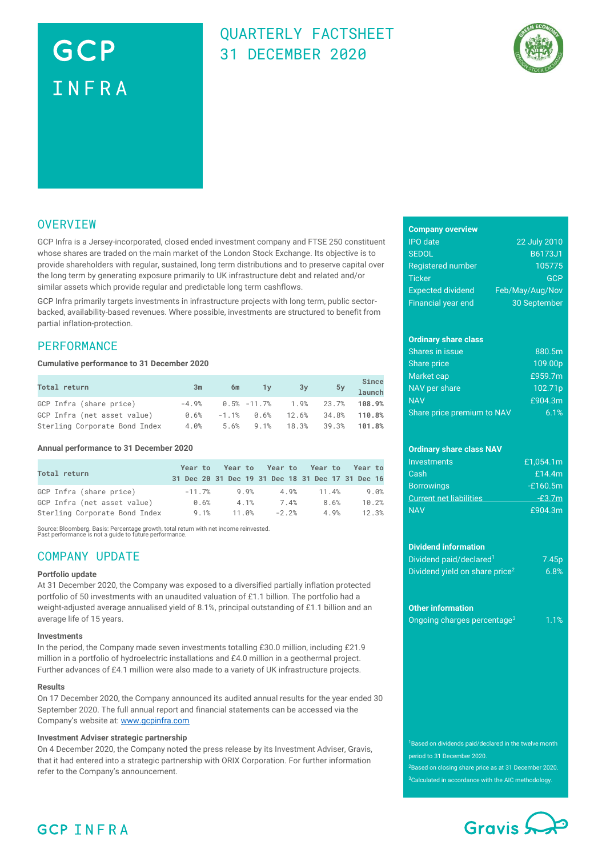# GCP INFRA

### QUARTERLY FACTSHEET 31 DECEMBER 2020



### **OVERVIEW**

GCP Infra is a Jersey-incorporated, closed ended investment company and FTSE 250 constituent whose shares are traded on the main market of the London Stock Exchange. Its objective is to provide shareholders with regular, sustained, long term distributions and to preserve capital over the long term by generating exposure primarily to UK infrastructure debt and related and/or similar assets which provide regular and predictable long term cashflows.

GCP Infra primarily targets investments in infrastructure projects with long term, public sectorbacked, availability-based revenues. Where possible, investments are structured to benefit from partial inflation-protection.

### **PERFORMANCE**

#### **Cumulative performance to 31 December 2020**

| Total return                  | 3m   | 6m | $\sqrt{1}y$ | 3y                                       | 5y Since<br>1aunch |
|-------------------------------|------|----|-------------|------------------------------------------|--------------------|
| GCP Infra (share price)       |      |    |             | $-4.9\%$ $0.5\%$ $-11.7\%$ $1.9\%$ 23.7% | 108.9%             |
| GCP Infra (net asset value)   | 0.6% |    |             | $-1.1\%$ $0.6\%$ 12.6% 34.8%             | 110.8%             |
| Sterling Corporate Bond Index | 4.0% |    |             | $5.6\%$ 9.1% 18.3% 39.3%                 | 101.8%             |

#### **Annual performance to 31 December 2020**

| Total return                  |          |       |         | Year to Year to Year to Year to Year to<br>31 Dec 20 31 Dec 19 31 Dec 18 31 Dec 17 31 Dec 16 |       |
|-------------------------------|----------|-------|---------|----------------------------------------------------------------------------------------------|-------|
| GCP Infra (share price)       | $-11.7%$ | 9.9%  | 4.9%    | 11.4%                                                                                        | 9.0%  |
| GCP Infra (net asset value)   | 0.6%     | 4.1%  | 7.4%    | 8.6%                                                                                         | 10.2% |
| Sterling Corporate Bond Index | 9.1%     | 11.0% | $-2.2%$ | 4.9%                                                                                         | 12.3% |

Source: Bloomberg. Basis: Percentage growth, total return with net income reinvested. Past performance is not a guide to future performance.

### COMPANY UPDATE

#### **Portfolio update**

At 31 December 2020, the Company was exposed to a diversified partially inflation protected portfolio of 50 investments with an unaudited valuation of £1.1 billion. The portfolio had a weight-adjusted average annualised yield of 8.1%, principal outstanding of £1.1 billion and an average life of 15 years.

#### **Investments**

In the period, the Company made seven investments totalling £30.0 million, including £21.9 million in a portfolio of hydroelectric installations and £4.0 million in a geothermal project. Further advances of £4.1 million were also made to a variety of UK infrastructure projects.

#### **Results**

On 17 December 2020, the Company announced its audited annual results for the year ended 30 September 2020. The full annual report and financial statements can be accessed via the Company's website at: [www.gcpinfra.com](http://www.gcpinfra.com/)

#### **Investment Adviser strategic partnership**

On 4 December 2020, the Company noted the press release by its Investment Adviser, Gravis, that it had entered into a strategic partnership with ORIX Corporation. For further information refer to the Company's announcement.

#### **Company overview**

| <b>IPO</b> date           | 22 July 2010    |
|---------------------------|-----------------|
| <b>SEDOL</b>              | <b>B6173J1</b>  |
| <b>Registered number</b>  | 105775          |
| Ticker                    | GCP             |
| <b>Expected dividend</b>  | Feb/May/Aug/Nov |
| <b>Financial year end</b> | 30 September    |

### **Ordinary share class**

| Shares in issue            | 880.5m     |
|----------------------------|------------|
| Share price                | 109.00p    |
| Market cap                 | £959.7 $m$ |
| NAV per share              | 102.71p    |
| <b>NAV</b>                 | £904.3m    |
| Share price premium to NAV | 6.1%       |

### **Ordinary share class NAV**

| Investments                    | £1.054.1m  |
|--------------------------------|------------|
| Cash                           | £14.4m     |
| <b>Borrowings</b>              | $-£160.5m$ |
| <b>Current net liabilities</b> | $-E3.7m$   |
| <b>NAV</b>                     | £904.3m    |

#### **Dividend information**

| Dividend paid/declared <sup>1</sup>        | 7.45 <sub>p</sub> |
|--------------------------------------------|-------------------|
| Dividend yield on share price <sup>2</sup> | 6.8%              |

#### **Other information**

|  | Ongoing charges percentage <sup>3</sup> | 1.1% |
|--|-----------------------------------------|------|

<sup>1</sup>Based on dividends paid/declared in the twelve month period to 31 December 2020.

<sup>2</sup>Based on closing share price as at 31 December 2020. <sup>3</sup>Calculated in accordance with the AIC methodology.



### **GCP INFRA**